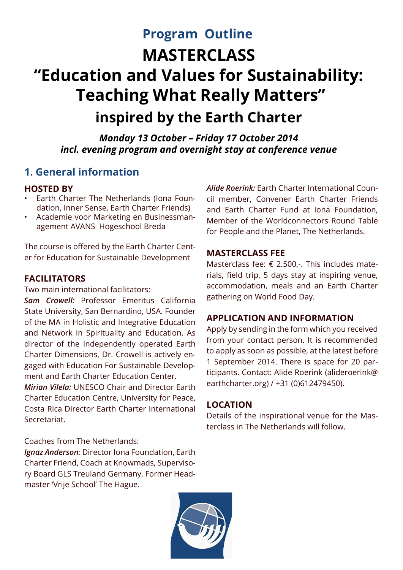# **MASTERCLASS "Education and Values for Sustainability: Teaching What Really Matters" inspired by the Earth Charter Program Outline**

*Monday 13 October – Friday 17 October 2014 incl. evening program and overnight stay at conference venue*

## **1. General information**

## **HOSTED BY**

- Earth Charter The Netherlands (Iona Foundation, Inner Sense, Earth Charter Friends)
- • Academie voor Marketing en Businessmanagement AVANS Hogeschool Breda

The course is offered by the Earth Charter Center for Education for Sustainable Development

## **FACILITATORS**

Two main international facilitators:

*Sam Crowell:* Professor Emeritus California State University, San Bernardino, USA. Founder of the MA in Holistic and Integrative Education and Network in Spirituality and Education. As director of the independently operated Earth Charter Dimensions, Dr. Crowell is actively engaged with Education For Sustainable Development and Earth Charter Education Center.

*Mirian Vilela:* UNESCO Chair and Director Earth Charter Education Centre, University for Peace, Costa Rica Director Earth Charter International Secretariat.

## Coaches from The Netherlands:

*Ignaz Anderson:* Director Iona Foundation, Earth Charter Friend, Coach at Knowmads, Supervisory Board GLS Treuland Germany, Former Headmaster 'Vrije School' The Hague.

*Alide Roerink:* Earth Charter International Council member, Convener Earth Charter Friends and Earth Charter Fund at Iona Foundation, Member of the Worldconnectors Round Table for People and the Planet, The Netherlands.

## **MASTERCLASS FEE**

Masterclass fee: € 2.500,-. This includes materials, field trip, 5 days stay at inspiring venue, accommodation, meals and an Earth Charter gathering on World Food Day.

## **APPLICATION AND INFORMATION**

Apply by sending in the form which you received from your contact person. It is recommended to apply as soon as possible, at the latest before 1 September 2014. There is space for 20 participants. Contact: Alide Roerink (alideroerink@ earthcharter.org) / +31 (0)612479450).

## **LOCATION**

Details of the inspirational venue for the Masterclass in The Netherlands will follow.